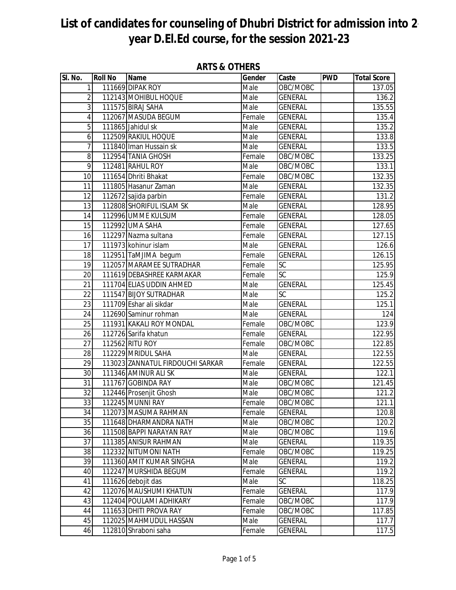| SI. No.                 | <b>Roll No</b> | Name                             | Gender | Caste          | <b>PWD</b> | <b>Total Score</b> |
|-------------------------|----------------|----------------------------------|--------|----------------|------------|--------------------|
| $\mathbf{1}$            |                | 111669 DIPAK ROY                 | Male   | OBC/MOBC       |            | 137.05             |
| $\overline{2}$          |                | 112143 MOHIBUL HOQUE             | Male   | <b>GENERAL</b> |            | 136.2              |
| $\overline{3}$          |                | 111575 BIRAJ SAHA                | Male   | <b>GENERAL</b> |            | 135.55             |
| $\overline{\mathbf{4}}$ |                | 112067 MASUDA BEGUM              | Female | <b>GENERAL</b> |            | 135.4              |
| 5                       |                | 111865 Jahidul sk                | Male   | <b>GENERAL</b> |            | 135.2              |
| 6                       |                | 112509 RAKIUL HOQUE              | Male   | <b>GENERAL</b> |            | 133.8              |
| $\overline{7}$          |                | 111840 Iman Hussain sk           | Male   | <b>GENERAL</b> |            | 133.5              |
| 8                       |                | 112954 TANIA GHOSH               | Female | OBC/MOBC       |            | 133.25             |
| 9                       |                | 112481 RAHUL ROY                 | Male   | OBC/MOBC       |            | 133.1              |
| 10                      |                | 111654 Dhriti Bhakat             | Female | OBC/MOBC       |            | 132.35             |
| 11                      |                | 111805 Hasanur Zaman             | Male   | <b>GENERAL</b> |            | 132.35             |
| 12                      |                | 112672 sajida parbin             | Female | <b>GENERAL</b> |            | 131.2              |
| 13                      |                | 112808 SHORIFUL ISLAM SK         | Male   | <b>GENERAL</b> |            | 128.95             |
| $\overline{14}$         |                | 112996 UMME KULSUM               | Female | <b>GENERAL</b> |            | 128.05             |
| 15                      |                | 112992 UMA SAHA                  | Female | <b>GENERAL</b> |            | 127.65             |
| 16                      |                | 112297 Nazma sultana             | Female | <b>GENERAL</b> |            | 127.15             |
| 17                      |                | 111973 kohinur islam             | Male   | <b>GENERAL</b> |            | 126.6              |
| 18                      |                | 112951 TaMJIMA begum             | Female | <b>GENERAL</b> |            | 126.15             |
| $\overline{19}$         |                | 112057 MARAMEE SUTRADHAR         | Female | SC             |            | 125.95             |
| 20                      |                | 111619 DEBASHREE KARMAKAR        | Female | SC             |            | 125.9              |
| 21                      |                | 111704 ELIAS UDDIN AHMED         | Male   | <b>GENERAL</b> |            | 125.45             |
| 22                      |                | 111547 BIJOY SUTRADHAR           | Male   | SC             |            | 125.2              |
| 23                      |                | 111709 Eshar ali sikdar          | Male   | <b>GENERAL</b> |            | 125.1              |
| $\overline{24}$         |                | 112690 Saminur rohman            | Male   | <b>GENERAL</b> |            | 124                |
| 25                      |                | 111931 KAKALI ROY MONDAL         | Female | OBC/MOBC       |            | 123.9              |
| 26                      |                | 112726 Sarifa khatun             | Female | <b>GENERAL</b> |            | 122.95             |
| 27                      |                | 112562 RITU ROY                  | Female | OBC/MOBC       |            | 122.85             |
| 28                      |                | 112229 MRIDUL SAHA               | Male   | <b>GENERAL</b> |            | 122.55             |
| $\overline{29}$         |                | 113023 ZANNATUL FIRDOUCHI SARKAR | Female | <b>GENERAL</b> |            | 122.55             |
| 30                      |                | 111346 AMINUR ALI SK             | Male   | <b>GENERAL</b> |            | 122.1              |
| 31                      |                | 111767 GOBINDA RAY               | Male   | OBC/MOBC       |            | 121.45             |
| 32                      |                | 112446 Prosenjit Ghosh           | Male   | OBC/MOBC       |            | 121.2              |
| 33                      |                | 112245 MUNNI RAY                 | Female | OBC/MOBC       |            | 121.1              |
| 34                      |                | 112073 MASUMA RAHMAN             | Female | GENERAL        |            | 120.8              |
| 35                      |                | 111648 DHARMANDRA NATH           | Male   | OBC/MOBC       |            | 120.2              |
| 36                      |                | 111508 BAPPI NARAYAN RAY         | Male   | OBC/MOBC       |            | 119.6              |
| 37                      |                | 111385 ANISUR RAHMAN             | Male   | <b>GENERAL</b> |            | 119.35             |
| 38                      |                | 112332 NITUMONI NATH             | Female | OBC/MOBC       |            | 119.25             |
| 39                      |                | 111360 AMIT KUMAR SINGHA         | Male   | <b>GENERAL</b> |            | 119.2              |
| 40                      |                | 112247 MURSHIDA BEGUM            | Female | <b>GENERAL</b> |            | 119.2              |
| 41                      |                | 111626 debojit das               | Male   | <b>SC</b>      |            | 118.25             |
| 42                      |                | 112076 MAUSHUMI KHATUN           | Female | <b>GENERAL</b> |            | 117.9              |
| 43                      |                | 112404 POULAMI ADHIKARY          | Female | OBC/MOBC       |            | 117.9              |
| 44                      |                | 111653 DHITI PROVA RAY           | Female | OBC/MOBC       |            | 117.85             |
| 45                      |                | 112025 MAHMUDUL HASSAN           | Male   | <b>GENERAL</b> |            | 117.7              |
| 46                      |                | 112810 Shraboni saha             | Female | <b>GENERAL</b> |            | 117.5              |

**ARTS & OTHERS**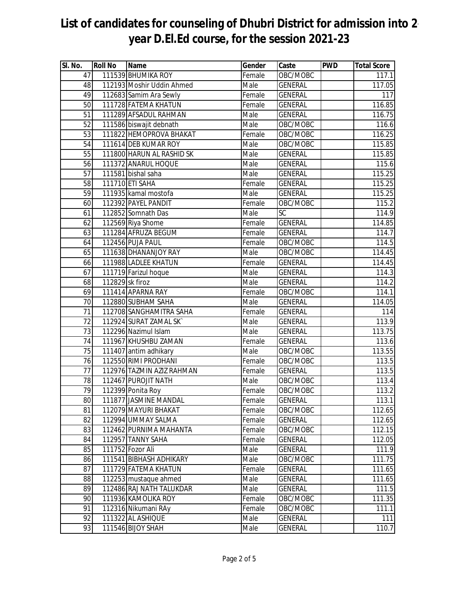| SI. No. | <b>Roll No</b>  | <b>Name</b>               | Gender | Caste          | <b>PWD</b> | <b>Total Score</b> |
|---------|-----------------|---------------------------|--------|----------------|------------|--------------------|
| 47      |                 | 111539 BHUMIKA ROY        | Female | OBC/MOBC       |            | 117.1              |
| 48      |                 | 112193 Moshir Uddin Ahmed | Male   | <b>GENERAL</b> |            | 117.05             |
| 49      |                 | 112683 Samim Ara Sewly    | Female | <b>GENERAL</b> |            | 117                |
| 50      |                 | 111728 FATEMA KHATUN      | Female | <b>GENERAL</b> |            | 116.85             |
| 51      |                 | 111289 AFSADUL RAHMAN     | Male   | <b>GENERAL</b> |            | 116.75             |
| 52      |                 | 111586 biswajit debnath   | Male   | OBC/MOBC       |            | 116.6              |
| 53      |                 | 111822 HEMOPROVA BHAKAT   | Female | OBC/MOBC       |            | 116.25             |
| 54      |                 | 111614 DEB KUMAR ROY      | Male   | OBC/MOBC       |            | 115.85             |
| 55      |                 | 111800 HARUN AL RASHID SK | Male   | <b>GENERAL</b> |            | 115.85             |
| 56      |                 | 111372 ANARUL HOQUE       | Male   | <b>GENERAL</b> |            | 115.6              |
| 57      |                 | 111581 bishal saha        | Male   | <b>GENERAL</b> |            | 115.25             |
| 58      |                 | 111710 ETI SAHA           | Female | <b>GENERAL</b> |            | 115.25             |
| 59      |                 | 111935 kamal mostofa      | Male   | <b>GENERAL</b> |            | 115.25             |
| 60      |                 | 112392 PAYEL PANDIT       | Female | OBC/MOBC       |            | 115.2              |
| 61      |                 | 112852 Somnath Das        | Male   | <b>SC</b>      |            | 114.9              |
| 62      |                 | 112569 Riya Shome         | Female | <b>GENERAL</b> |            | 114.85             |
| 63      |                 | 111284 AFRUZA BEGUM       | Female | <b>GENERAL</b> |            | 114.7              |
| 64      |                 | 112456 PUJA PAUL          | Female | OBC/MOBC       |            | 114.5              |
| 65      |                 | 111638 DHANANJOY RAY      | Male   | OBC/MOBC       |            | 114.45             |
| 66      |                 | 111988 LADLEE KHATUN      | Female | <b>GENERAL</b> |            | 114.45             |
| 67      |                 | 111719 Farizul hoque      | Male   | <b>GENERAL</b> |            | 114.3              |
| 68      | 112829 sk firoz |                           | Male   | <b>GENERAL</b> |            | 114.2              |
| 69      |                 | 111414 APARNA RAY         | Female | OBC/MOBC       |            | 114.1              |
| 70      |                 | 112880 SUBHAM SAHA        | Male   | <b>GENERAL</b> |            | 114.05             |
| 71      |                 | 112708 SANGHAMITRA SAHA   | Female | <b>GENERAL</b> |            | 114                |
| 72      |                 | 112924 SURAT ZAMAL SK     | Male   | <b>GENERAL</b> |            | 113.9              |
| 73      |                 | 112296 Nazimul Islam      | Male   | <b>GENERAL</b> |            | 113.75             |
| 74      |                 | 111967 KHUSHBU ZAMAN      | Female | <b>GENERAL</b> |            | 113.6              |
| 75      |                 | 111407 antim adhikary     | Male   | OBC/MOBC       |            | 113.55             |
| 76      |                 | 112550 RIMI PRODHANI      | Female | OBC/MOBC       |            | 113.5              |
| 77      |                 | 112976 TAZMIN AZIZ RAHMAN | Female | <b>GENERAL</b> |            | 113.5              |
| 78      |                 | 112467 PUROJIT NATH       | Male   | OBC/MOBC       |            | 113.4              |
| 79      |                 | 112399 Ponita Roy         | Female | OBC/MOBC       |            | 113.2              |
| 80      |                 | 111877 JASMINE MANDAL     | Female | <b>GENERAL</b> |            | 113.1              |
| 81      |                 | 112079 MAYURI BHAKAT      | Female | OBC/MOBC       |            | 112.65             |
| 82      |                 | 112994 UMMAY SALMA        | Female | <b>GENERAL</b> |            | 112.65             |
| 83      |                 | 112462 PURNIMA MAHANTA    | Female | OBC/MOBC       |            | 112.15             |
| 84      |                 | 112957 TANNY SAHA         | Female | <b>GENERAL</b> |            | 112.05             |
| 85      |                 | 111752 Fozor Ali          | Male   | <b>GENERAL</b> |            | 111.9              |
| 86      |                 | 111541 BIBHASH ADHIKARY   | Male   | OBC/MOBC       |            | 111.75             |
| 87      |                 | 111729 FATEMA KHATUN      | Female | <b>GENERAL</b> |            | 111.65             |
| 88      |                 | 112253 mustaque ahmed     | Male   | <b>GENERAL</b> |            | 111.65             |
| 89      |                 | 112486 RAJ NATH TALUKDAR  | Male   | <b>GENERAL</b> |            | 111.5              |
| 90      |                 | 111936 KAMOLIKA ROY       | Female | OBC/MOBC       |            | 111.35             |
| 91      |                 | 112316 Nikumani RAy       | Female | OBC/MOBC       |            | 111.1              |
| 92      |                 | 111322 AL ASHIQUE         | Male   | <b>GENERAL</b> |            | 111                |
| 93      |                 | 111546 BIJOY SHAH         | Male   | <b>GENERAL</b> |            | 110.7              |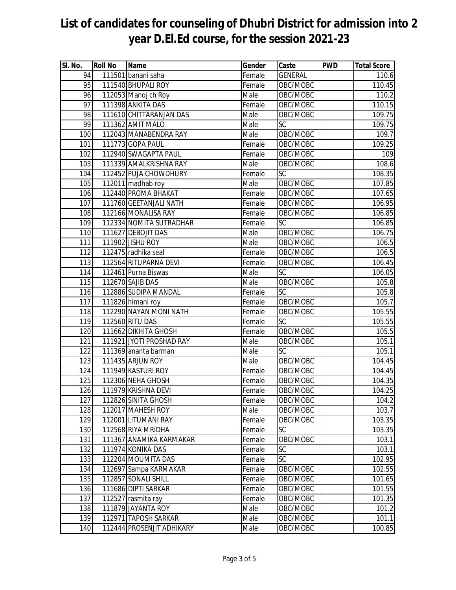| SI. No.         | <b>Roll No</b> | <b>Name</b>               | Gender | Caste          | <b>PWD</b> | <b>Total Score</b> |
|-----------------|----------------|---------------------------|--------|----------------|------------|--------------------|
| 94              |                | 111501 banani saha        | Female | <b>GENERAL</b> |            | 110.6              |
| 95              |                | 111540 BHUPALI ROY        | Female | OBC/MOBC       |            | 110.45             |
| 96              |                | 112053 Manoj ch Roy       | Male   | OBC/MOBC       |            | 110.2              |
| $\overline{97}$ |                | 111398 ANKITA DAS         | Female | OBC/MOBC       |            | 110.15             |
| 98              |                | 111610 CHITTARANJAN DAS   | Male   | OBC/MOBC       |            | 109.75             |
| 99              |                | 111362 AMIT MALO          | Male   | <b>SC</b>      |            | 109.75             |
| 100             |                | 112043 MANABENDRA RAY     | Male   | OBC/MOBC       |            | 109.7              |
| 101             |                | 111773 GOPA PAUL          | Female | OBC/MOBC       |            | 109.25             |
| 102             |                | 112940 SWAGAPTA PAUL      | Female | OBC/MOBC       |            | 109                |
| 103             |                | 111339 AMALKRISHNA RAY    | Male   | OBC/MOBC       |            | 108.6              |
| 104             |                | 112452 PUJA CHOWDHURY     | Female | <b>SC</b>      |            | 108.35             |
| 105             |                | 112011 madhab roy         | Male   | OBC/MOBC       |            | 107.85             |
| 106             |                | 112440 PROMA BHAKAT       | Female | OBC/MOBC       |            | 107.65             |
| 107             |                | 111760 GEETANJALI NATH    | Female | OBC/MOBC       |            | 106.95             |
| 108             |                | 112166 MONALISA RAY       | Female | OBC/MOBC       |            | 106.85             |
| 109             |                | 112334 NOMITA SUTRADHAR   | Female | <b>SC</b>      |            | 106.85             |
| 110             |                | 111627 DEBOJIT DAS        | Male   | OBC/MOBC       |            | 106.75             |
| 111             |                | 111902 JISHU ROY          | Male   | OBC/MOBC       |            | 106.5              |
| 112             |                | 112475 radhika seal       | Female | OBC/MOBC       |            | 106.5              |
| 113             |                | 112564 RITUPARNA DEVI     | Female | OBC/MOBC       |            | 106.45             |
| 114             |                | 112461 Purna Biswas       | Male   | <b>SC</b>      |            | 106.05             |
| 115             |                | 112670 SAJIB DAS          | Male   | OBC/MOBC       |            | 105.8              |
| 116             |                | 112886 SUDIPA MANDAL      | Female | SC             |            | 105.8              |
| 117             |                | 111826 himani roy         | Female | OBC/MOBC       |            | 105.7              |
| 118             |                | 112290 NAYAN MONI NATH    | Female | OBC/MOBC       |            | 105.55             |
| 119             |                | 112560 RITU DAS           | Female | SC             |            | 105.55             |
| 120             |                | 111662 DIKHITA GHOSH      | Female | OBC/MOBC       |            | 105.5              |
| 121             |                | 111921 JYOTI PROSHAD RAY  | Male   | OBC/MOBC       |            | 105.1              |
| 122             |                | 111369 ananta barman      | Male   | <b>SC</b>      |            | 105.1              |
| 123             |                | 111435 ARJUN ROY          | Male   | OBC/MOBC       |            | 104.45             |
| 124             |                | 111949 KASTURI ROY        | Female | OBC/MOBC       |            | 104.45             |
| 125             |                | 112306 NEHA GHOSH         | Female | OBC/MOBC       |            | 104.35             |
| 126             |                | 111979 KRISHNA DEVI       | Female | OBC/MOBC       |            | 104.25             |
| 127             |                | 112826 SINITA GHOSH       | Female | OBC/MOBC       |            | 104.2              |
| 128             |                | 112017 MAHESH ROY         | Male   | OBC/MOBC       |            | 103.7              |
| 129             |                | 112001 LITUMANI RAY       | Female | OBC/MOBC       |            | 103.35             |
| 130             |                | 112568 RIYA MRIDHA        | Female | <b>SC</b>      |            | 103.35             |
| 131             |                | 111367 ANAMIKA KARMAKAR   | Female | OBC/MOBC       |            | 103.1              |
| 132             |                | 111974 KONIKA DAS         | Female | SC             |            | 103.1              |
| 133             |                | 112204 MOUMITA DAS        | Female | SC             |            | 102.95             |
| 134             |                | 112697 Sampa KARMAKAR     | Female | OBC/MOBC       |            | 102.55             |
| 135             |                | 112857 SONALI SHILL       | Female | OBC/MOBC       |            | 101.65             |
| 136             |                | 111686 DIPTI SARKAR       | Female | OBC/MOBC       |            | 101.55             |
| 137             |                | 112527 rasmita ray        | Female | OBC/MOBC       |            | 101.35             |
| 138             |                | 111879 JAYANTA ROY        | Male   | OBC/MOBC       |            | 101.2              |
| 139             |                | 112971 TAPOSH SARKAR      | Male   | OBC/MOBC       |            | 101.1              |
| 140             |                | 112444 PROSENJIT ADHIKARY | Male   | OBC/MOBC       |            | 100.85             |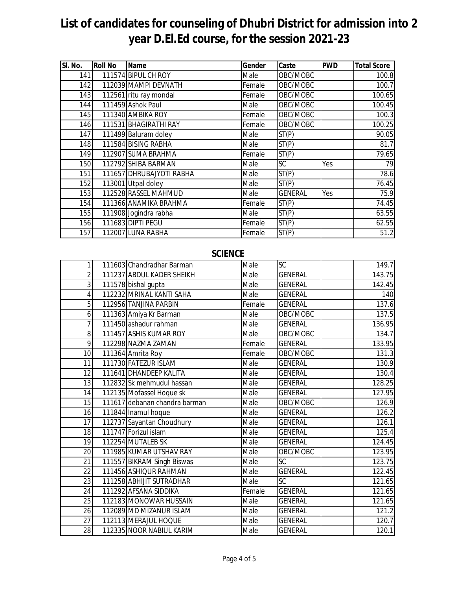| SI. No. | <b>Roll No</b> | <b>Name</b>              | <b>Gender</b> | Caste          | <b>PWD</b> | <b>Total Score</b> |
|---------|----------------|--------------------------|---------------|----------------|------------|--------------------|
| 141     |                | 111574 BIPUL CH ROY      | Male          | OBC/MOBC       |            | 100.8              |
| 142     |                | 112039 MAMPI DEVNATH     | Female        | OBC/MOBC       |            | 100.7              |
| 143     |                | 112561 ritu ray mondal   | Female        | OBC/MOBC       |            | 100.65             |
| 144     |                | 111459 Ashok Paul        | Male          | OBC/MOBC       |            | 100.45             |
| 145     |                | 111340 AMBIKA ROY        | Female        | OBC/MOBC       |            | 100.3              |
| 146     |                | 111531 BHAGIRATHI RAY    | Female        | OBC/MOBC       |            | 100.25             |
| 147     |                | 111499 Baluram doley     | Male          | ST(P)          |            | 90.05              |
| 148     |                | 111584 BISING RABHA      | Male          | ST(P)          |            | 81.7               |
| 149     |                | 112907 SUMA BRAHMA       | Female        | ST(P)          |            | 79.65              |
| 150     |                | 112792 SHIBA BARMAN      | Male          | SC             | Yes        | 79                 |
| 151     |                | 111657 DHRUBAJYOTI RABHA | Male          | ST(P)          |            | 78.6               |
| 152     |                | 113001 Utpal doley       | Male          | ST(P)          |            | 76.45              |
| 153     |                | 112528 RASSEL MAHMUD     | Male          | <b>GENERAL</b> | Yes        | 75.9               |
| 154     |                | 111366 ANAMIKA BRAHMA    | Female        | ST(P)          |            | 74.45              |
| 155     |                | 111908 Jogindra rabha    | Male          | ST(P)          |            | 63.55              |
| 156     |                | 111683 DIPTI PEGU        | Female        | ST(P)          |            | 62.55              |
| 157     |                | 112007 LUNA RABHA        | Female        | ST(P)          |            | 51.2               |

## **SCIENCE**

| 1              | 111603 Chandradhar Barman     | Male   | <b>SC</b>      | 149.7  |
|----------------|-------------------------------|--------|----------------|--------|
| $\overline{2}$ | 111237 ABDUL KADER SHEIKH     | Male   | <b>GENERAL</b> | 143.75 |
| $\overline{3}$ | 111578 bishal gupta           | Male   | <b>GENERAL</b> | 142.45 |
| 4              | 112232 MRINAL KANTI SAHA      | Male   | <b>GENERAL</b> | 140    |
| 5              | 112956 TANJINA PARBIN         | Female | <b>GENERAL</b> | 137.6  |
| 6              | 111363 Amiya Kr Barman        | Male   | OBC/MOBC       | 137.5  |
| 7              | 111450 ashadur rahman         | Male   | <b>GENERAL</b> | 136.95 |
| 8              | 111457 ASHIS KUMAR ROY        | Male   | OBC/MOBC       | 134.7  |
| 9              | 112298 NAZMA ZAMAN            | Female | <b>GENERAL</b> | 133.95 |
| 10             | 111364 Amrita Roy             | Female | OBC/MOBC       | 131.3  |
| 11             | 111730 FATEZUR ISLAM          | Male   | <b>GENERAL</b> | 130.9  |
| 12             | 111641 DHANDEEP KALITA        | Male   | <b>GENERAL</b> | 130.4  |
| 13             | 112832 Sk mehmudul hassan     | Male   | <b>GENERAL</b> | 128.25 |
| 14             | 112135 Mofassel Hoque sk      | Male   | <b>GENERAL</b> | 127.95 |
| 15             | 111617 debanan chandra barman | Male   | OBC/MOBC       | 126.9  |
| 16             | 111844 Inamul hoque           | Male   | <b>GENERAL</b> | 126.2  |
| 17             | 112737 Sayantan Choudhury     | Male   | <b>GENERAL</b> | 126.1  |
| 18             | 111747 Forizul islam          | Male   | <b>GENERAL</b> | 125.4  |
| 19             | 112254 MUTALEB SK             | Male   | <b>GENERAL</b> | 124.45 |
| 20             | 111985 KUMAR UTSHAV RAY       | Male   | OBC/MOBC       | 123.95 |
| 21             | 111557 BIKRAM Singh Biswas    | Male   | <b>SC</b>      | 123.75 |
| 22             | 111456 ASHIQUR RAHMAN         | Male   | <b>GENERAL</b> | 122.45 |
| 23             | 111258 ABHIJIT SUTRADHAR      | Male   | SC             | 121.65 |
| 24             | 111292 AFSANA SIDDIKA         | Female | <b>GENERAL</b> | 121.65 |
| 25             | 112183 MONOWAR HUSSAIN        | Male   | <b>GENERAL</b> | 121.65 |
| 26             | 112089 MD MIZANUR ISLAM       | Male   | <b>GENERAL</b> | 121.2  |
| 27             | 112113 MERAJUL HOQUE          | Male   | <b>GENERAL</b> | 120.7  |
| 28             | 112335 NOOR NABIUL KARIM      | Male   | <b>GENERAL</b> | 120.1  |